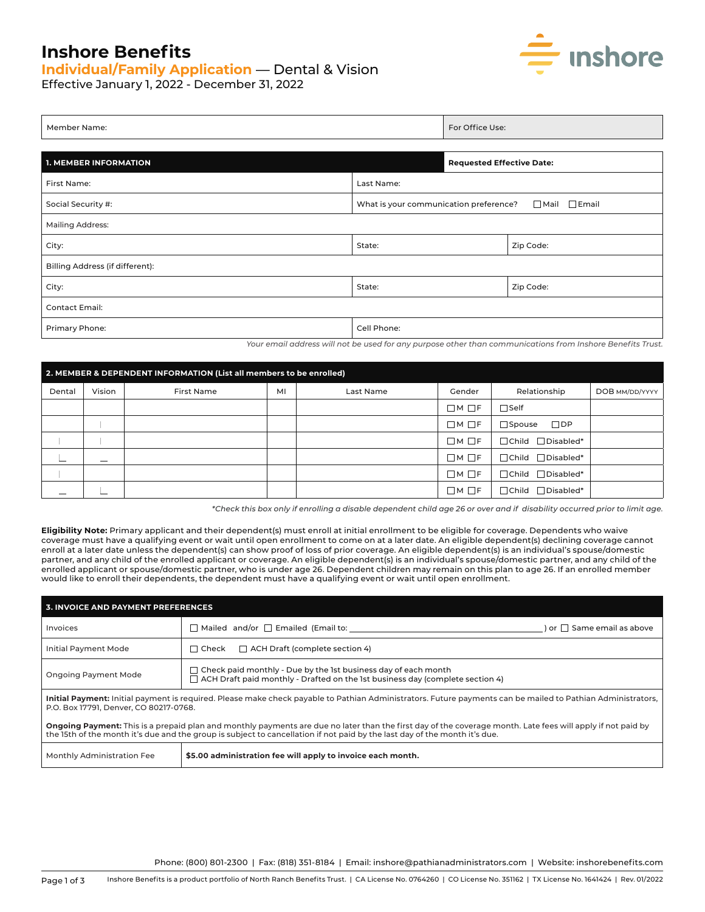## **Inshore Benefits**

## **Individual/Family Application** — Dental & Vision



Effective January 1, 2022 - December 31, 2022

| Member Name:                                                 |             | For Office Use:                  |           |  |
|--------------------------------------------------------------|-------------|----------------------------------|-----------|--|
|                                                              |             |                                  |           |  |
| <b>1. MEMBER INFORMATION</b>                                 |             | <b>Requested Effective Date:</b> |           |  |
| First Name:<br>Last Name:                                    |             |                                  |           |  |
| What is your communication preference?<br>Social Security #: |             | $\Box$ Mail<br>$\Box$ Email      |           |  |
| <b>Mailing Address:</b>                                      |             |                                  |           |  |
| City:<br>State:                                              |             |                                  | Zip Code: |  |
| Billing Address (if different):                              |             |                                  |           |  |
| City:                                                        | State:      |                                  | Zip Code: |  |
| <b>Contact Email:</b>                                        |             |                                  |           |  |
| Primary Phone:                                               | Cell Phone: |                                  |           |  |

*Your email address will not be used for any purpose other than communications from Inshore Benefits Trust.*

| 2. MEMBER & DEPENDENT INFORMATION (List all members to be enrolled) |        |            |    |           |                   |                               |                |
|---------------------------------------------------------------------|--------|------------|----|-----------|-------------------|-------------------------------|----------------|
| Dental                                                              | Vision | First Name | MI | Last Name | Gender            | Relationship                  | DOB MM/DD/YYYY |
| -                                                                   | -      |            |    |           | $\Box M \Box F$   | $\Box$ Self                   |                |
| $\overline{\phantom{a}}$                                            |        |            |    |           | $\Box M \Box F$   | $\Box$ DP<br>$\square$ Spouse |                |
|                                                                     | __     |            |    |           | $\Box M \Box F$   | $\Box$ Child $\Box$ Disabled* |                |
| $\overline{\phantom{a}}$                                            |        |            |    |           | $\Box$ M $\Box$ F | □ Child □ Disabled*           |                |
|                                                                     |        |            |    |           | $\Box M \Box F$   | □ Child □ Disabled*           |                |
|                                                                     |        |            |    |           | $\Box M \Box F$   | $\Box$ Child $\Box$ Disabled* |                |

*\*Check this box only if enrolling a disable dependent child age 26 or over and if disability occurred prior to limit age.*

**Eligibility Note:** Primary applicant and their dependent(s) must enroll at initial enrollment to be eligible for coverage. Dependents who waive coverage must have a qualifying event or wait until open enrollment to come on at a later date. An eligible dependent(s) declining coverage cannot enroll at a later date unless the dependent(s) can show proof of loss of prior coverage. An eligible dependent(s) is an individual's spouse/domestic partner, and any child of the enrolled applicant or coverage. An eligible dependent(s) is an individual's spouse/domestic partner, and any child of the enrolled applicant or spouse/domestic partner, who is under age 26. Dependent children may remain on this plan to age 26. If an enrolled member would like to enroll their dependents, the dependent must have a qualifying event or wait until open enrollment.

| 3. INVOICE AND PAYMENT PREFERENCES                                                                                                                                                                                                                                                        |                                                                                                                                                               |                                   |  |  |
|-------------------------------------------------------------------------------------------------------------------------------------------------------------------------------------------------------------------------------------------------------------------------------------------|---------------------------------------------------------------------------------------------------------------------------------------------------------------|-----------------------------------|--|--|
| <b>Invoices</b>                                                                                                                                                                                                                                                                           | $\Box$ Mailed and/or $\Box$ Emailed (Email to:                                                                                                                | $\log$ $\Box$ Same email as above |  |  |
| <b>Initial Payment Mode</b>                                                                                                                                                                                                                                                               | $\Box$ ACH Draft (complete section 4)<br>$\Box$ Check                                                                                                         |                                   |  |  |
| <b>Ongoing Payment Mode</b>                                                                                                                                                                                                                                                               | $\Box$ Check paid monthly - Due by the 1st business day of each month<br>$\Box$ ACH Draft paid monthly - Drafted on the 1st business day (complete section 4) |                                   |  |  |
| Initial Payment: Initial payment is required. Please make check payable to Pathian Administrators. Future payments can be mailed to Pathian Administrators,<br>P.O. Box 17791, Denver, CO 80217-0768.                                                                                     |                                                                                                                                                               |                                   |  |  |
| Ongoing Payment: This is a prepaid plan and monthly payments are due no later than the first day of the coverage month. Late fees will apply if not paid by<br>the 15th of the month it's due and the group is subject to cancellation if not paid by the last day of the month it's due. |                                                                                                                                                               |                                   |  |  |
| Monthly Administration Fee                                                                                                                                                                                                                                                                | \$5.00 administration fee will apply to invoice each month.                                                                                                   |                                   |  |  |

Phone: (800) 801-2300 | Fax: (818) 351-8184 | Email: inshore@pathianadministrators.com | Website: inshorebenefits.com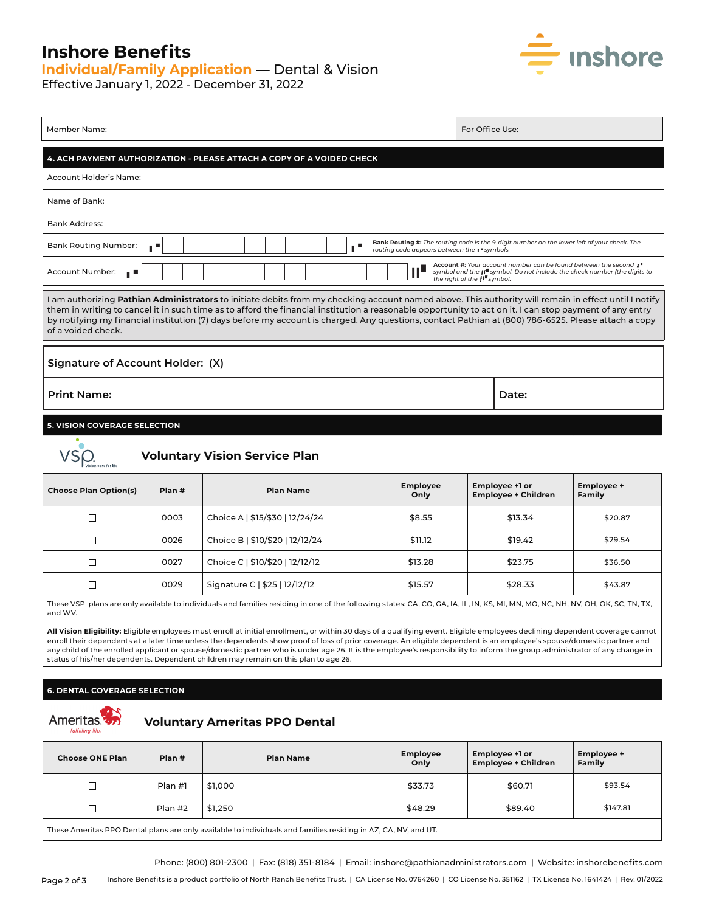## **Inshore Benefits**

# **Individual/Family Application** — Dental & Vision



Effective January 1, 2022 - December 31, 2022

| Member Name:                                                                                                                                                                                                                                                                                                                                                                                                                                                                                 | For Office Use:                                                                             |  |  |
|----------------------------------------------------------------------------------------------------------------------------------------------------------------------------------------------------------------------------------------------------------------------------------------------------------------------------------------------------------------------------------------------------------------------------------------------------------------------------------------------|---------------------------------------------------------------------------------------------|--|--|
| 4. ACH PAYMENT AUTHORIZATION - PLEASE ATTACH A COPY OF A VOIDED CHECK                                                                                                                                                                                                                                                                                                                                                                                                                        |                                                                                             |  |  |
| Account Holder's Name:                                                                                                                                                                                                                                                                                                                                                                                                                                                                       |                                                                                             |  |  |
| Name of Bank:                                                                                                                                                                                                                                                                                                                                                                                                                                                                                |                                                                                             |  |  |
| <b>Bank Address:</b>                                                                                                                                                                                                                                                                                                                                                                                                                                                                         |                                                                                             |  |  |
| <b>Bank Routing Number:</b><br>. .<br>routing code appears between the $\cdot$ " symbols.                                                                                                                                                                                                                                                                                                                                                                                                    | Bank Routing #: The routing code is the 9-digit number on the lower left of your check. The |  |  |
| Account #: Your account number can be found between the second $I^*$<br>Ш<br>Account Number:<br>symbol and the $  $ <sup>"</sup> symbol. Do not include the check number (the digits to<br>ш<br>the right of the $\overline{\mathbf{H}}$ symbol.                                                                                                                                                                                                                                             |                                                                                             |  |  |
| I am authorizing Pathian Administrators to initiate debits from my checking account named above. This authority will remain in effect until I notify<br>them in writing to cancel it in such time as to afford the financial institution a reasonable opportunity to act on it. I can stop payment of any entry<br>by notifying my financial institution (7) days before my account is charged. Any questions, contact Pathian at (800) 786-6525. Please attach a copy<br>of a voided check. |                                                                                             |  |  |
| Signature of Account Holder: (X)                                                                                                                                                                                                                                                                                                                                                                                                                                                             |                                                                                             |  |  |
| <b>Print Name:</b>                                                                                                                                                                                                                                                                                                                                                                                                                                                                           | Date:                                                                                       |  |  |
| <b>5. VISION COVERAGE SELECTION</b>                                                                                                                                                                                                                                                                                                                                                                                                                                                          |                                                                                             |  |  |



## **Voluntary Vision Service Plan**

| <b>Choose Plan Option(s)</b> | Plan # | <b>Plan Name</b>                | <b>Employee</b><br>Only | Employee +1 or<br><b>Employee + Children</b> | Employee +<br>Family |
|------------------------------|--------|---------------------------------|-------------------------|----------------------------------------------|----------------------|
|                              | 0003   | Choice A   \$15/\$30   12/24/24 | \$8.55                  | \$13.34                                      | \$20.87              |
|                              | 0026   | Choice B   \$10/\$20   12/12/24 | \$11.12                 | \$19.42                                      | \$29.54              |
|                              | 0027   | Choice C   \$10/\$20   12/12/12 | \$13.28                 | \$23.75                                      | \$36.50              |
|                              | 0029   | Signature C   \$25   12/12/12   | \$15.57                 | \$28.33                                      | \$43.87              |

These VSP plans are only available to individuals and families residing in one of the following states: CA, CO, GA, IA, IL, IN, KS, MI, MN, MO, NC, NH, NV, OH, OK, SC, TN, TX, and WV.

**All Vision Eligibility:** Eligible employees must enroll at initial enrollment, or within 30 days of a qualifying event. Eligible employees declining dependent coverage cannot enroll their dependents at a later time unless the dependents show proof of loss of prior coverage. An eligible dependent is an employee's spouse/domestic partner and any child of the enrolled applicant or spouse/domestic partner who is under age 26. It is the employee's responsibility to inform the group administrator of any change in status of his/her dependents. Dependent children may remain on this plan to age 26.

#### **6. DENTAL COVERAGE SELECTION**



## **Ameritas**  $\sum_{\text{turliling life}}$  **Voluntary Ameritas PPO Dental**

| <b>Choose ONE Plan</b>                                                                                         | Plan #  | <b>Plan Name</b> | <b>Employee</b><br>Only | Employee +1 or<br><b>Employee + Children</b> | Employee +<br>Family |
|----------------------------------------------------------------------------------------------------------------|---------|------------------|-------------------------|----------------------------------------------|----------------------|
| П                                                                                                              | Plan #1 | \$1.000          | \$33.73                 | \$60.71                                      | \$93.54              |
| ┓                                                                                                              | Plan #2 | \$1,250          | \$48.29                 | \$89.40                                      | \$147.81             |
| These Ameritas PPO Dental plans are only available to individuals and families residing in AZ, CA, NV, and UT. |         |                  |                         |                                              |                      |

Phone: (800) 801-2300 | Fax: (818) 351-8184 | Email: inshore@pathianadministrators.com | Website: inshorebenefits.com